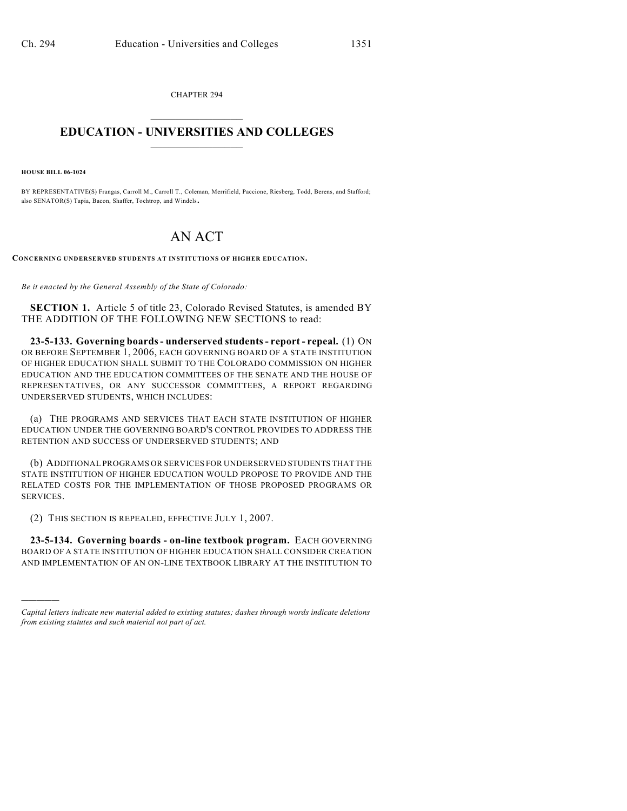CHAPTER 294  $\overline{\phantom{a}}$  . The set of the set of the set of the set of the set of the set of the set of the set of the set of the set of the set of the set of the set of the set of the set of the set of the set of the set of the set o

## **EDUCATION - UNIVERSITIES AND COLLEGES**  $\_$

**HOUSE BILL 06-1024**

)))))

BY REPRESENTATIVE(S) Frangas, Carroll M., Carroll T., Coleman, Merrifield, Paccione, Riesberg, Todd, Berens, and Stafford; also SENATOR(S) Tapia, Bacon, Shaffer, Tochtrop, and Windels.

## AN ACT

**CONCERNING UNDERSERVED STUDENTS AT INSTITUTIONS OF HIGHER EDUCATION.**

*Be it enacted by the General Assembly of the State of Colorado:*

**SECTION 1.** Article 5 of title 23, Colorado Revised Statutes, is amended BY THE ADDITION OF THE FOLLOWING NEW SECTIONS to read:

**23-5-133. Governing boards - underserved students - report - repeal.** (1) ON OR BEFORE SEPTEMBER 1, 2006, EACH GOVERNING BOARD OF A STATE INSTITUTION OF HIGHER EDUCATION SHALL SUBMIT TO THE COLORADO COMMISSION ON HIGHER EDUCATION AND THE EDUCATION COMMITTEES OF THE SENATE AND THE HOUSE OF REPRESENTATIVES, OR ANY SUCCESSOR COMMITTEES, A REPORT REGARDING UNDERSERVED STUDENTS, WHICH INCLUDES:

(a) THE PROGRAMS AND SERVICES THAT EACH STATE INSTITUTION OF HIGHER EDUCATION UNDER THE GOVERNING BOARD'S CONTROL PROVIDES TO ADDRESS THE RETENTION AND SUCCESS OF UNDERSERVED STUDENTS; AND

(b) ADDITIONAL PROGRAMS OR SERVICES FOR UNDERSERVED STUDENTS THAT THE STATE INSTITUTION OF HIGHER EDUCATION WOULD PROPOSE TO PROVIDE AND THE RELATED COSTS FOR THE IMPLEMENTATION OF THOSE PROPOSED PROGRAMS OR SERVICES.

(2) THIS SECTION IS REPEALED, EFFECTIVE JULY 1, 2007.

**23-5-134. Governing boards - on-line textbook program.** EACH GOVERNING BOARD OF A STATE INSTITUTION OF HIGHER EDUCATION SHALL CONSIDER CREATION AND IMPLEMENTATION OF AN ON-LINE TEXTBOOK LIBRARY AT THE INSTITUTION TO

*Capital letters indicate new material added to existing statutes; dashes through words indicate deletions from existing statutes and such material not part of act.*